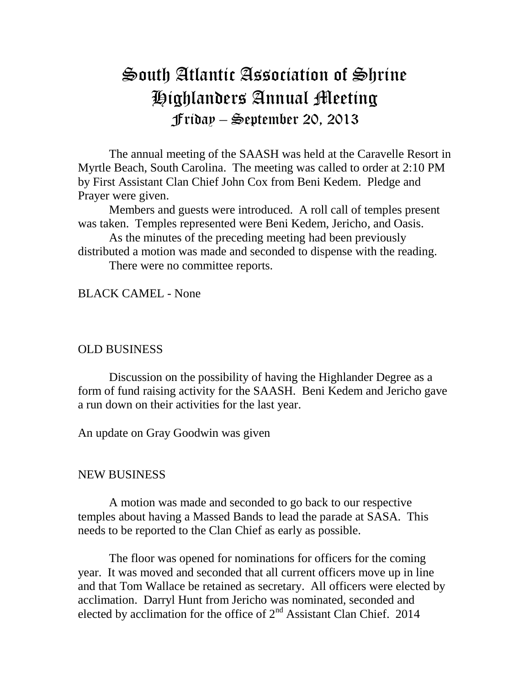## South Atlantic Association of Shrine Highlanders Annual Meeting Friday – September 20, 2013

The annual meeting of the SAASH was held at the Caravelle Resort in Myrtle Beach, South Carolina. The meeting was called to order at 2:10 PM by First Assistant Clan Chief John Cox from Beni Kedem. Pledge and Prayer were given.

Members and guests were introduced. A roll call of temples present was taken. Temples represented were Beni Kedem, Jericho, and Oasis.

As the minutes of the preceding meeting had been previously distributed a motion was made and seconded to dispense with the reading.

There were no committee reports.

BLACK CAMEL - None

## OLD BUSINESS

Discussion on the possibility of having the Highlander Degree as a form of fund raising activity for the SAASH. Beni Kedem and Jericho gave a run down on their activities for the last year.

An update on Gray Goodwin was given

## NEW BUSINESS

A motion was made and seconded to go back to our respective temples about having a Massed Bands to lead the parade at SASA. This needs to be reported to the Clan Chief as early as possible.

The floor was opened for nominations for officers for the coming year. It was moved and seconded that all current officers move up in line and that Tom Wallace be retained as secretary. All officers were elected by acclimation. Darryl Hunt from Jericho was nominated, seconded and elected by acclimation for the office of  $2<sup>nd</sup>$  Assistant Clan Chief. 2014